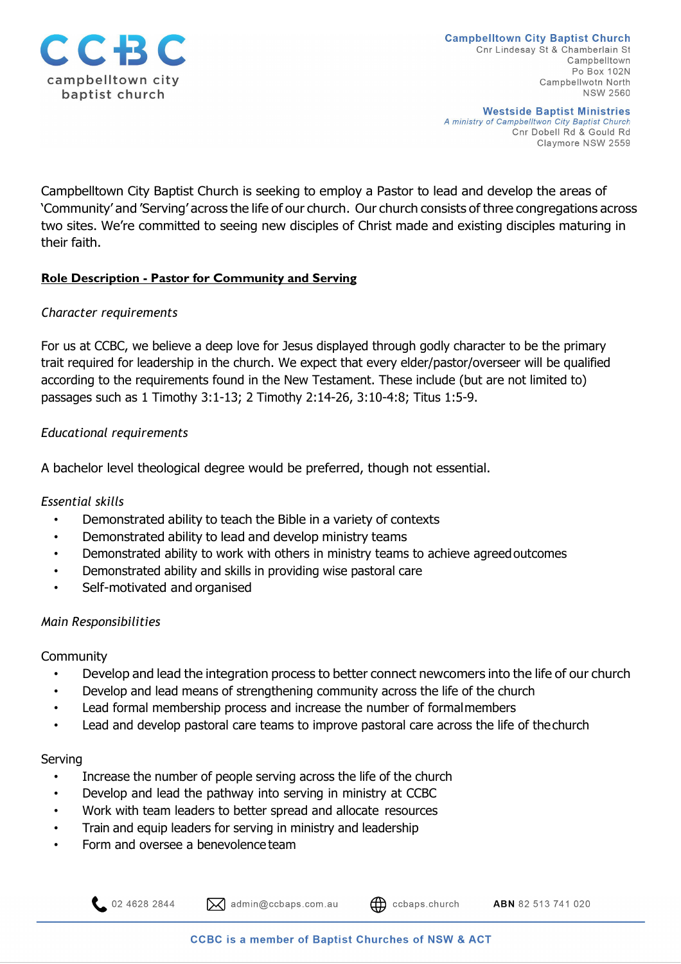

**Westside Baptist Ministries** A ministry of Campbelltwon City Baptist Church Cnr Dobell Rd & Gould Rd Claymore NSW 2559

Campbelltown City Baptist Church is seeking to employ a Pastor to lead and develop the areas of 'Community' and 'Serving' across the life of our church. Our church consists of three congregations across two sites. We're committed to seeing new disciples of Christ made and existing disciples maturing in their faith.

# **Role Description - Pastor for Community and Serving**

## *Character requirements*

For us at CCBC, we believe a deep love for Jesus displayed through godly character to be the primary trait required for leadership in the church. We expect that every elder/pastor/overseer will be qualified according to the requirements found in the New Testament. These include (but are not limited to) passages such as 1 Timothy 3:1-13; 2 Timothy 2:14-26, 3:10-4:8; Titus 1:5-9.

# *Educational requirements*

A bachelor level theological degree would be preferred, though not essential.

## *Essential skills*

- Demonstrated ability to teach the Bible in a variety of contexts
- Demonstrated ability to lead and develop ministry teams
- Demonstrated ability to work with others in ministry teams to achieve agreedoutcomes
- Demonstrated ability and skills in providing wise pastoral care
- Self-motivated and organised

## *Main Responsibilities*

## **Community**

- Develop and lead the integration process to better connect newcomers into the life of our church
- Develop and lead means of strengthening community across the life of the church
- Lead formal membership process and increase the number of formalmembers
- Lead and develop pastoral care teams to improve pastoral care across the life of thechurch

## Serving

- Increase the number of people serving across the life of the church
- Develop and lead the pathway into serving in ministry at CCBC
- Work with team leaders to better spread and allocate resources
- Train and equip leaders for serving in ministry and leadership
- Form and oversee a benevolence team

02 4628 2844

 $\mathbf{\infty}$  admin@ccbaps.com.au

ABN 82 513 741 020

ccbaps.church